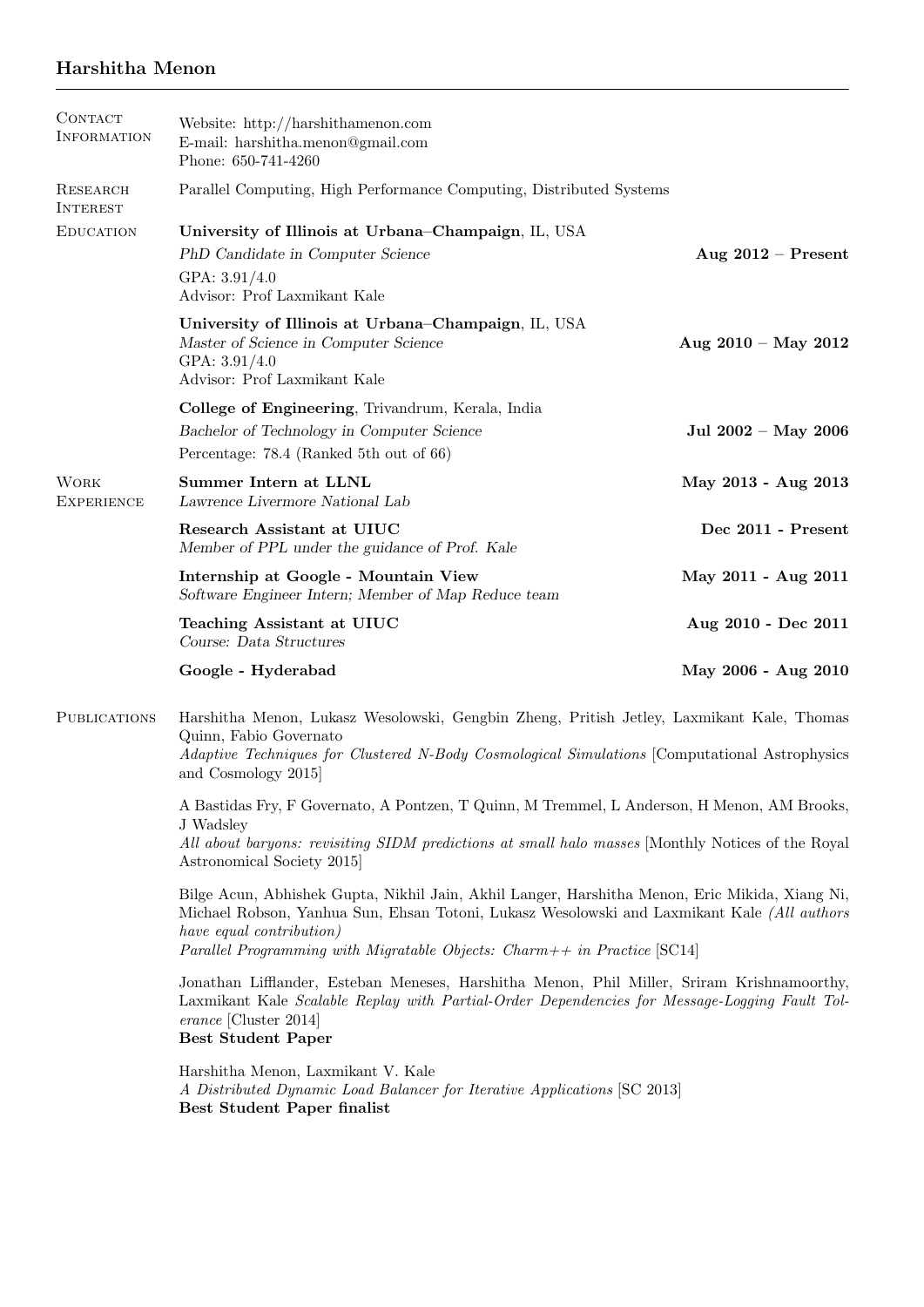# Harshitha Menon

| CONTACT<br><b>INFORMATION</b>    | Website: http://harshithamenon.com<br>E-mail: harshitha.menon@gmail.com<br>Phone: 650-741-4260                                                                                                                                              |                       |
|----------------------------------|---------------------------------------------------------------------------------------------------------------------------------------------------------------------------------------------------------------------------------------------|-----------------------|
| RESEARCH<br><b>INTEREST</b>      | Parallel Computing, High Performance Computing, Distributed Systems                                                                                                                                                                         |                       |
| <b>EDUCATION</b>                 | University of Illinois at Urbana–Champaign, IL, USA<br>PhD Candidate in Computer Science<br>GPA: 3.91/4.0<br>Advisor: Prof Laxmikant Kale                                                                                                   | Aug $2012$ – Present  |
|                                  | University of Illinois at Urbana-Champaign, IL, USA<br>Master of Science in Computer Science<br>GPA: 3.91/4.0<br>Advisor: Prof Laxmikant Kale                                                                                               | Aug $2010 - May 2012$ |
|                                  | College of Engineering, Trivandrum, Kerala, India<br>Bachelor of Technology in Computer Science<br>Percentage: 78.4 (Ranked 5th out of 66)                                                                                                  | Jul 2002 - May 2006   |
| <b>WORK</b><br><b>EXPERIENCE</b> | Summer Intern at LLNL<br>Lawrence Livermore National Lab                                                                                                                                                                                    | May 2013 - Aug 2013   |
|                                  | Research Assistant at UIUC<br>Member of PPL under the guidance of Prof. Kale                                                                                                                                                                | Dec 2011 - Present    |
|                                  | Internship at Google - Mountain View<br>Software Engineer Intern; Member of Map Reduce team                                                                                                                                                 | May 2011 - Aug 2011   |
|                                  | Teaching Assistant at UIUC<br>Course: Data Structures                                                                                                                                                                                       | Aug 2010 - Dec 2011   |
|                                  | Google - Hyderabad                                                                                                                                                                                                                          | May 2006 - Aug 2010   |
| <b>PUBLICATIONS</b>              | Harshitha Menon, Lukasz Wesolowski, Gengbin Zheng, Pritish Jetley, Laxmikant Kale, Thomas<br>Quinn, Fabio Governato<br>Adaptive Techniques for Clustered N-Body Cosmological Simulations [Computational Astrophysics]<br>and Cosmology 2015 |                       |

A Bastidas Fry, F Governato, A Pontzen, T Quinn, M Tremmel, L Anderson, H Menon, AM Brooks, J Wadsley

All about baryons: revisiting SIDM predictions at small halo masses [Monthly Notices of the Royal Astronomical Society 2015]

Bilge Acun, Abhishek Gupta, Nikhil Jain, Akhil Langer, Harshitha Menon, Eric Mikida, Xiang Ni, Michael Robson, Yanhua Sun, Ehsan Totoni, Lukasz Wesolowski and Laxmikant Kale (All authors have equal contribution) Parallel Programming with Migratable Objects: Charm $++$  in Practice [SC14]

Jonathan Lifflander, Esteban Meneses, Harshitha Menon, Phil Miller, Sriram Krishnamoorthy, Laxmikant Kale Scalable Replay with Partial-Order Dependencies for Message-Logging Fault Tolerance [Cluster 2014] Best Student Paper

Harshitha Menon, Laxmikant V. Kale A Distributed Dynamic Load Balancer for Iterative Applications [SC 2013] Best Student Paper finalist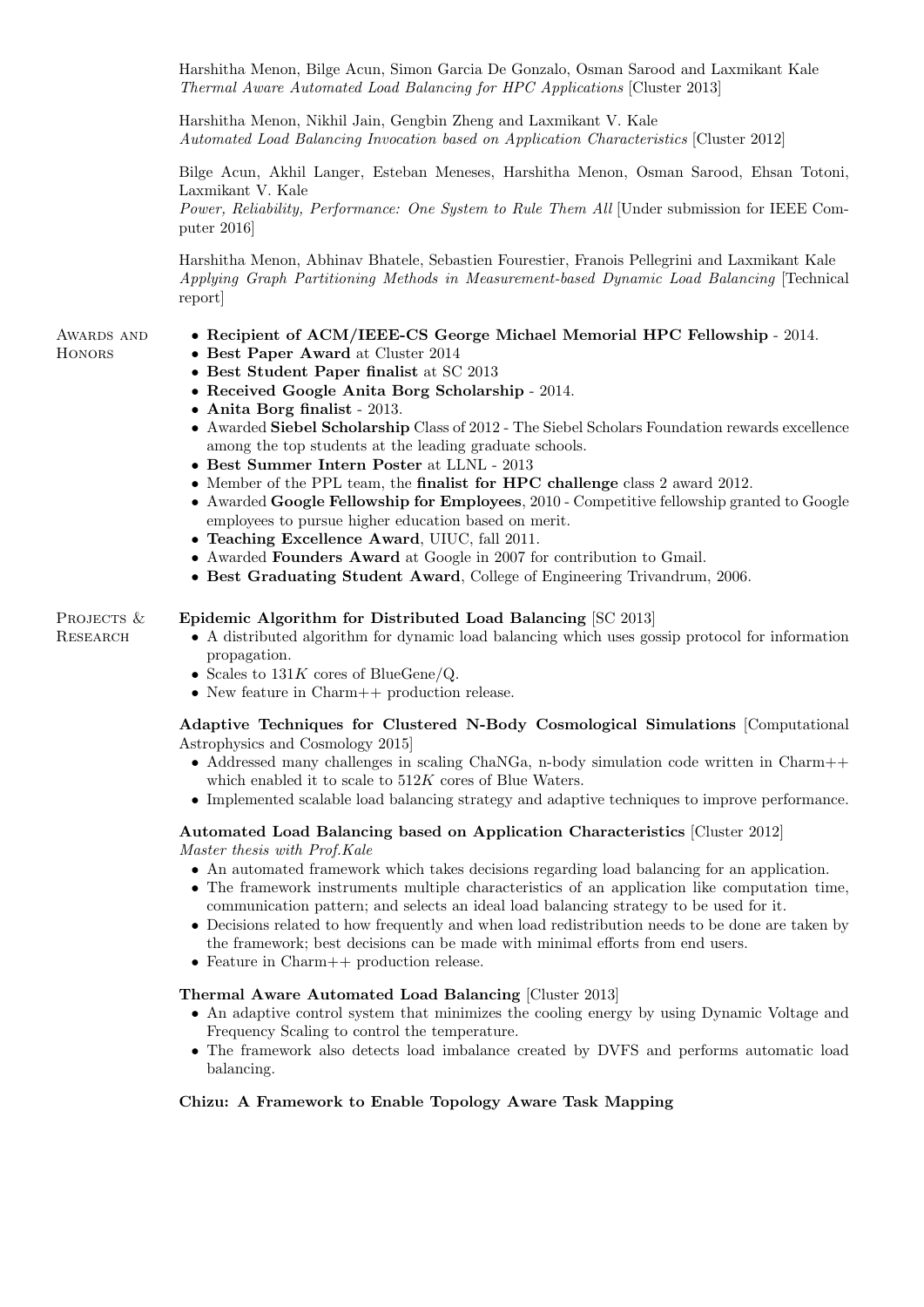Harshitha Menon, Bilge Acun, Simon Garcia De Gonzalo, Osman Sarood and Laxmikant Kale Thermal Aware Automated Load Balancing for HPC Applications [Cluster 2013]

Harshitha Menon, Nikhil Jain, Gengbin Zheng and Laxmikant V. Kale Automated Load Balancing Invocation based on Application Characteristics [Cluster 2012]

Bilge Acun, Akhil Langer, Esteban Meneses, Harshitha Menon, Osman Sarood, Ehsan Totoni, Laxmikant V. Kale

Power, Reliability, Performance: One System to Rule Them All [Under submission for IEEE Computer 2016]

Harshitha Menon, Abhinav Bhatele, Sebastien Fourestier, Franois Pellegrini and Laxmikant Kale Applying Graph Partitioning Methods in Measurement-based Dynamic Load Balancing [Technical report]

#### AWARDS AND **HONORS**

**RESEARCH** 

- Recipient of ACM/IEEE-CS George Michael Memorial HPC Fellowship 2014.
- Best Paper Award at Cluster 2014
- Best Student Paper finalist at SC 2013
- Received Google Anita Borg Scholarship 2014.
- Anita Borg finalist 2013.
- Awarded Siebel Scholarship Class of 2012 The Siebel Scholars Foundation rewards excellence among the top students at the leading graduate schools.
- Best Summer Intern Poster at LLNL 2013
- Member of the PPL team, the finalist for HPC challenge class 2 award 2012.
- Awarded Google Fellowship for Employees, 2010 Competitive fellowship granted to Google employees to pursue higher education based on merit.
- Teaching Excellence Award, UIUC, fall 2011.
- Awarded Founders Award at Google in 2007 for contribution to Gmail.
- Best Graduating Student Award, College of Engineering Trivandrum, 2006.

#### PROJECTS & Epidemic Algorithm for Distributed Load Balancing [SC 2013]

- A distributed algorithm for dynamic load balancing which uses gossip protocol for information propagation.
- Scales to  $131K$  cores of BlueGene/Q.
- New feature in Charm++ production release.

Adaptive Techniques for Clustered N-Body Cosmological Simulations [Computational Astrophysics and Cosmology 2015]

- Addressed many challenges in scaling ChaNGa, n-body simulation code written in Charm++ which enabled it to scale to  $512K$  cores of Blue Waters.
- Implemented scalable load balancing strategy and adaptive techniques to improve performance.

#### Automated Load Balancing based on Application Characteristics [Cluster 2012] Master thesis with Prof.Kale

- An automated framework which takes decisions regarding load balancing for an application.
- The framework instruments multiple characteristics of an application like computation time, communication pattern; and selects an ideal load balancing strategy to be used for it.
- Decisions related to how frequently and when load redistribution needs to be done are taken by the framework; best decisions can be made with minimal efforts from end users.
- Feature in Charm++ production release.

#### Thermal Aware Automated Load Balancing [Cluster 2013]

- An adaptive control system that minimizes the cooling energy by using Dynamic Voltage and Frequency Scaling to control the temperature.
- The framework also detects load imbalance created by DVFS and performs automatic load balancing.

#### Chizu: A Framework to Enable Topology Aware Task Mapping